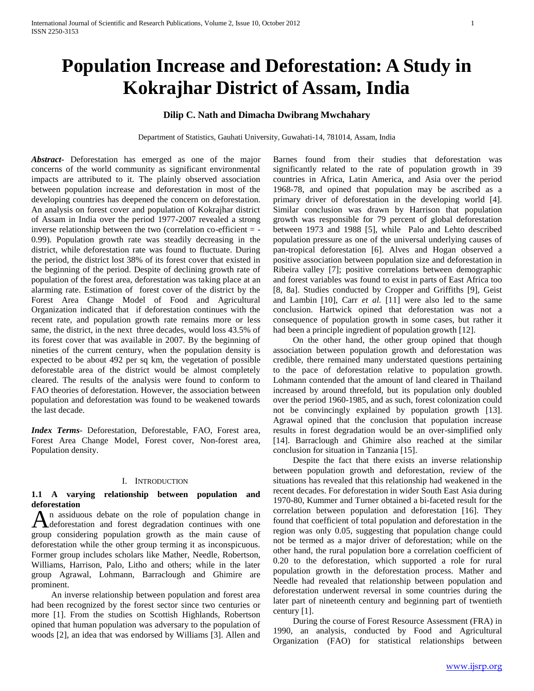# **Population Increase and Deforestation: A Study in Kokrajhar District of Assam, India**

# **Dilip C. Nath and Dimacha Dwibrang Mwchahary**

Department of Statistics, Gauhati University, Guwahati-14, 781014, Assam, India

*Abstract***-** Deforestation has emerged as one of the major concerns of the world community as significant environmental impacts are attributed to it. The plainly observed association between population increase and deforestation in most of the developing countries has deepened the concern on deforestation. An analysis on forest cover and population of Kokrajhar district of Assam in India over the period 1977-2007 revealed a strong inverse relationship between the two (correlation co-efficient = - 0.99). Population growth rate was steadily decreasing in the district, while deforestation rate was found to fluctuate. During the period, the district lost 38% of its forest cover that existed in the beginning of the period. Despite of declining growth rate of population of the forest area, deforestation was taking place at an alarming rate. Estimation of forest cover of the district by the Forest Area Change Model of Food and Agricultural Organization indicated that if deforestation continues with the recent rate, and population growth rate remains more or less same, the district, in the next three decades, would loss 43.5% of its forest cover that was available in 2007. By the beginning of nineties of the current century, when the population density is expected to be about 492 per sq km, the vegetation of possible deforestable area of the district would be almost completely cleared. The results of the analysis were found to conform to FAO theories of deforestation. However, the association between population and deforestation was found to be weakened towards the last decade.

*Index Terms*- Deforestation, Deforestable, FAO, Forest area, Forest Area Change Model, Forest cover, Non-forest area, Population density.

#### I. INTRODUCTION

# **1.1 A varying relationship between population and deforestation**

n assiduous debate on the role of population change in An assiduous debate on the role of population change in deforestation and forest degradation continues with one group considering population growth as the main cause of deforestation while the other group terming it as inconspicuous. Former group includes scholars like Mather, Needle, Robertson, Williams, Harrison, Palo, Litho and others; while in the later group Agrawal, Lohmann, Barraclough and Ghimire are prominent.

 An inverse relationship between population and forest area had been recognized by the forest sector since two centuries or more [1]. From the studies on Scottish Highlands, Robertson opined that human population was adversary to the population of woods [2], an idea that was endorsed by Williams [3]. Allen and Barnes found from their studies that deforestation was significantly related to the rate of population growth in 39 countries in Africa, Latin America, and Asia over the period 1968-78, and opined that population may be ascribed as a primary driver of deforestation in the developing world [4]. Similar conclusion was drawn by Harrison that population growth was responsible for 79 percent of global deforestation between 1973 and 1988 [5], while Palo and Lehto described population pressure as one of the universal underlying causes of pan-tropical deforestation [6]. Alves and Hogan observed a positive association between population size and deforestation in Ribeira valley [7]; positive correlations between demographic and forest variables was found to exist in parts of East Africa too [8, 8a]. Studies conducted by Cropper and Griffiths [9], Geist and Lambin [10], Carr *et al.* [11] were also led to the same conclusion. Hartwick opined that deforestation was not a consequence of population growth in some cases, but rather it had been a principle ingredient of population growth [12].

 On the other hand, the other group opined that though association between population growth and deforestation was credible, there remained many understated questions pertaining to the pace of deforestation relative to population growth. Lohmann contended that the amount of land cleared in Thailand increased by around threefold, but its population only doubled over the period 1960-1985, and as such, forest colonization could not be convincingly explained by population growth [13]. Agrawal opined that the conclusion that population increase results in forest degradation would be an over-simplified only [14]. Barraclough and Ghimire also reached at the similar conclusion for situation in Tanzania [15].

 Despite the fact that there exists an inverse relationship between population growth and deforestation, review of the situations has revealed that this relationship had weakened in the recent decades. For deforestation in wider South East Asia during 1970-80, Kummer and Turner obtained a bi-faceted result for the correlation between population and deforestation [16]. They found that coefficient of total population and deforestation in the region was only 0.05, suggesting that population change could not be termed as a major driver of deforestation; while on the other hand, the rural population bore a correlation coefficient of 0.20 to the deforestation, which supported a role for rural population growth in the deforestation process. Mather and Needle had revealed that relationship between population and deforestation underwent reversal in some countries during the later part of nineteenth century and beginning part of twentieth century [1].

 During the course of Forest Resource Assessment (FRA) in 1990, an analysis, conducted by Food and Agricultural Organization (FAO) for statistical relationships between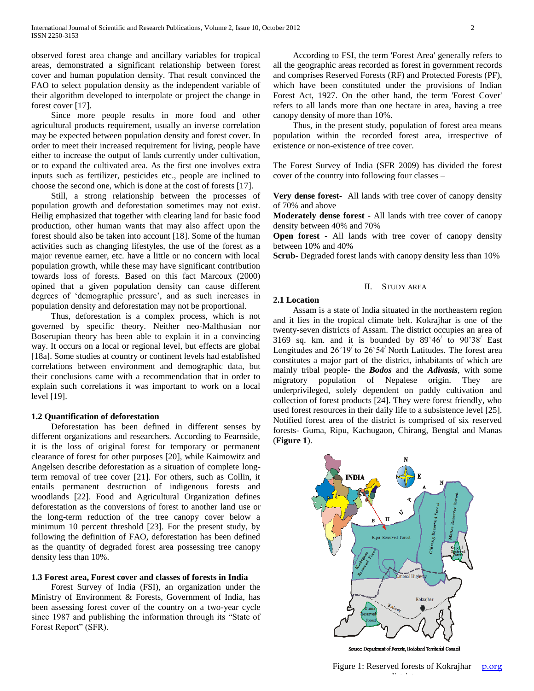observed forest area change and ancillary variables for tropical areas, demonstrated a significant relationship between forest cover and human population density. That result convinced the FAO to select population density as the independent variable of their algorithm developed to interpolate or project the change in forest cover [17].

 Since more people results in more food and other agricultural products requirement, usually an inverse correlation may be expected between population density and forest cover. In order to meet their increased requirement for living, people have either to increase the output of lands currently under cultivation, or to expand the cultivated area. As the first one involves extra inputs such as fertilizer, pesticides etc., people are inclined to choose the second one, which is done at the cost of forests [17].

 Still, a strong relationship between the processes of population growth and deforestation sometimes may not exist. Heilig emphasized that together with clearing land for basic food production, other human wants that may also affect upon the forest should also be taken into account [18]. Some of the human activities such as changing lifestyles, the use of the forest as a major revenue earner, etc. have a little or no concern with local population growth, while these may have significant contribution towards loss of forests. Based on this fact Marcoux (2000) opined that a given population density can cause different degrees of "demographic pressure", and as such increases in population density and deforestation may not be proportional.

 Thus, deforestation is a complex process, which is not governed by specific theory. Neither neo-Malthusian nor Boserupian theory has been able to explain it in a convincing way. It occurs on a local or regional level, but effects are global [18a]. Some studies at country or continent levels had established correlations between environment and demographic data, but their conclusions came with a recommendation that in order to explain such correlations it was important to work on a local level [19].

## **1.2 Quantification of deforestation**

 Deforestation has been defined in different senses by different organizations and researchers. According to Fearnside, it is the loss of original forest for temporary or permanent clearance of forest for other purposes [20], while Kaimowitz and Angelsen describe deforestation as a situation of complete longterm removal of tree cover [21]. For others, such as Collin, it entails permanent destruction of indigenous forests and woodlands [22]. Food and Agricultural Organization defines deforestation as the conversions of forest to another land use or the long-term reduction of the tree canopy cover below a minimum 10 percent threshold [23]. For the present study, by following the definition of FAO, deforestation has been defined as the quantity of degraded forest area possessing tree canopy density less than 10%.

## **1.3 Forest area, Forest cover and classes of forests in India**

 Forest Survey of India (FSI), an organization under the Ministry of Environment & Forests, Government of India, has been assessing forest cover of the country on a two-year cycle since 1987 and publishing the information through its "State of Forest Report" (SFR).

 According to FSI, the term 'Forest Area' generally refers to all the geographic areas recorded as forest in government records and comprises Reserved Forests (RF) and Protected Forests (PF), which have been constituted under the provisions of Indian Forest Act, 1927. On the other hand, the term 'Forest Cover' refers to all lands more than one hectare in area, having a tree canopy density of more than 10%.

 Thus, in the present study, population of forest area means population within the recorded forest area, irrespective of existence or non-existence of tree cover.

The Forest Survey of India (SFR 2009) has divided the forest cover of the country into following four classes –

**Very dense forest**- All lands with tree cover of canopy density of 70% and above

**Moderately dense forest** - All lands with tree cover of canopy density between 40% and 70%

**Open forest** - All lands with tree cover of canopy density between 10% and 40%

**Scrub**- Degraded forest lands with canopy density less than 10%

# II. STUDY AREA

# **2.1 Location**

 Assam is a state of India situated in the northeastern region and it lies in the tropical climate belt. Kokrajhar is one of the twenty-seven districts of Assam. The district occupies an area of 3169 sq. km. and it is bounded by  $89°46'$  to  $90°38'$  East Longitudes and  $26^{\circ}19'$  to  $26^{\circ}54'$  North Latitudes. The forest area constitutes a major part of the district, inhabitants of which are mainly tribal people- the *Bodos* and the *Adivasis*, with some migratory population of Nepalese origin. They are underprivileged, solely dependent on paddy cultivation and collection of forest products [24]. They were forest friendly, who used forest resources in their daily life to a subsistence level [25]. Notified forest area of the district is comprised of six reserved forests- Guma, Ripu, Kachugaon, Chirang, Bengtal and Manas (**Figure 1**).



Source: Department of Forests, Bodoland Territorial Council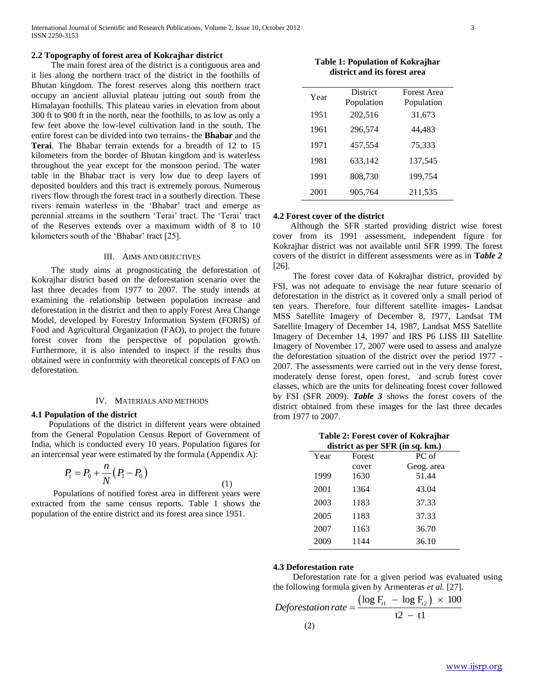## **2.2 Topography of forest area of Kokrajhar district**

 The main forest area of the district is a contiguous area and it lies along the northern tract of the district in the foothills of Bhutan kingdom. The forest reserves along this northern tract occupy an ancient alluvial plateau jutting out south from the Himalayan foothills. This plateau varies in elevation from about 300 ft to 900 ft in the north, near the foothills, to as low as only a few feet above the low-level cultivation land in the south. The entire forest can be divided into two terrains- the **Bhabar** and the **Terai**. The Bhabar terrain extends for a breadth of 12 to 15 kilometers from the border of Bhutan kingdom and is waterless throughout the year except for the monsoon period. The water table in the Bhabar tract is very low due to deep layers of deposited boulders and this tract is extremely porous. Numerous rivers flow through the forest tract in a southerly direction. These rivers remain waterless in the "Bhabar" tract and emerge as perennial streams in the southern 'Terai' tract. The 'Terai' tract of the Reserves extends over a maximum width of 8 to 10 kilometers south of the 'Bhabar' tract [25].

#### III. AIMS AND OBJECTIVES

 The study aims at prognosticating the deforestation of Kokrajhar district based on the deforestation scenario over the last three decades from 1977 to 2007. The study intends at examining the relationship between population increase and deforestation in the district and then to apply Forest Area Change Model, developed by Forestry Information System (FORIS) of Food and Agricultural Organization (FAO), to project the future forest cover from the perspective of population growth. Furthermore, it is also intended to inspect if the results thus obtained were in conformity with theoretical concepts of FAO on deforestation.

#### IV. MATERIALS AND METHODS

## **4.1 Population of the district**

 Populations of the district in different years were obtained from the General Population Census Report of Government of India, which is conducted every 10 years. Population figures for an intercensal year were estimated by the formula (Appendix A):

$$
P_{t} = P_{0} + \frac{n}{N} (P_{1} - P_{0})
$$
\n(1)

 Populations of notified forest area in different years were extracted from the same census reports. Table 1 shows the population of the entire district and its forest area since 1951.

**Table 1: Population of Kokrajhar district and its forest area**

| Year | District<br>Population | <b>Forest Area</b><br>Population |
|------|------------------------|----------------------------------|
| 1951 | 202,516                | 31,673                           |
| 1961 | 296,574                | 44,483                           |
| 1971 | 457,554                | 75,333                           |
| 1981 | 633,142                | 137,545                          |
| 1991 | 808,730                | 199,754                          |
| 2001 | 905,764                | 211,535                          |

#### **4.2 Forest cover of the district**

 Although the SFR started providing district wise forest cover from its 1991 assessment, independent figure for Kokrajhar district was not available until SFR 1999. The forest covers of the district in different assessments were as in **T***able 2*  [26].

 The forest cover data of Kokrajhar district, provided by FSI, was not adequate to envisage the near future scenario of deforestation in the district as it covered only a small period of ten years. Therefore, four different satellite images- Landsat MSS Satellite Imagery of December 8, 1977, Landsat TM Satellite Imagery of December 14, 1987, Landsat MSS Satellite Imagery of December 14, 1997 and IRS P6 LISS III Satellite Imagery of November 17, 2007 were used to assess and analyze the deforestation situation of the district over the period 1977 - 2007. The assessments were carried out in the very dense forest, moderately dense forest, open forest, and scrub forest cover classes, which are the units for delineating forest cover followed by FSI (SFR 2009). *Table 3* shows the forest covers of the district obtained from these images for the last three decades from 1977 to 2007.

| Table 2: Forest cover of Kokrajhar |  |
|------------------------------------|--|
| district as per SFR (in sq. km.)   |  |

|      | alstrict as per SPR (in sq. km.) |            |  |  |  |  |  |  |  |
|------|----------------------------------|------------|--|--|--|--|--|--|--|
| Year | Forest                           | PC of      |  |  |  |  |  |  |  |
|      | cover                            | Geog. area |  |  |  |  |  |  |  |
| 1999 | 1630                             | 51.44      |  |  |  |  |  |  |  |
| 2001 | 1364                             | 43.04      |  |  |  |  |  |  |  |
| 2003 | 1183                             | 37.33      |  |  |  |  |  |  |  |
| 2005 | 1183                             | 37.33      |  |  |  |  |  |  |  |
| 2007 | 1163                             | 36.70      |  |  |  |  |  |  |  |
| 2009 | 1144                             | 36.10      |  |  |  |  |  |  |  |

#### **4.3 Deforestation rate**

 Deforestation rate for a given period was evaluated using beforestation rate for a given period was evalual<br>the following formula given by Armenteras *et al.* [27].<br> $\text{Deforestation rate} = \frac{(\log F_{t1} - \log F_{t2}) \times 100}{(100 - 100)^{10}}$ 

*Deforestation rate* = 
$$
\frac{(\log F_{t1} - \log F_{t2}) \times 100}{t2 - t1}
$$
  
(2)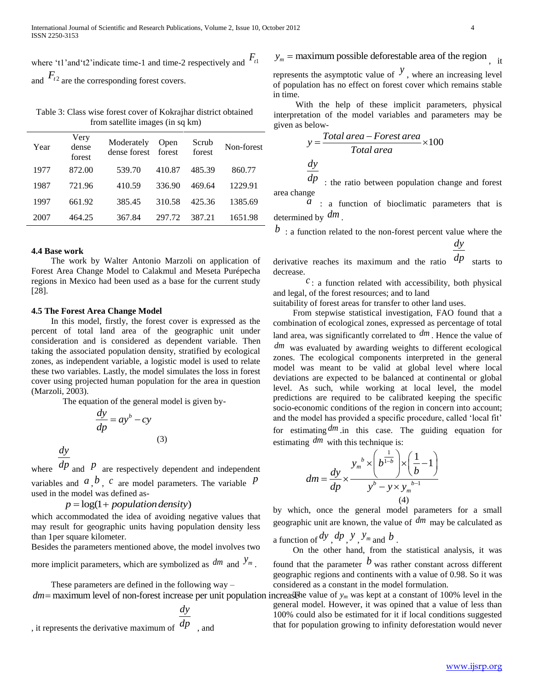where 't1' and 't2' indicate time-1 and time-2 respectively and  $F_{t_1}$ and  $F_{t^2}$  are the corresponding forest covers.

Table 3: Class wise forest cover of Kokrajhar district obtained from satellite images (in sq km)

| Year | Very<br>dense<br>forest | Moderately<br>dense forest | Open<br>forest | Scrub<br>forest | Non-forest |
|------|-------------------------|----------------------------|----------------|-----------------|------------|
| 1977 | 872.00                  | 539.70                     | 410.87         | 485.39          | 860.77     |
| 1987 | 721.96                  | 410.59                     | 336.90         | 469.64          | 1229.91    |
| 1997 | 661.92                  | 385.45                     | 310.58         | 425.36          | 1385.69    |
| 2007 | 464.25                  | 367.84                     | 297.72         | 387.21          | 1651.98    |

#### **4.4 Base work**

 The work by Walter Antonio Marzoli on application of Forest Area Change Model to Calakmul and Meseta Purépecha regions in Mexico had been used as a base for the current study [28].

# **4.5 The Forest Area Change Model**

 In this model, firstly, the forest cover is expressed as the percent of total land area of the geographic unit under consideration and is considered as dependent variable. Then taking the associated population density, stratified by ecological zones, as independent variable, a logistic model is used to relate these two variables. Lastly, the model simulates the loss in forest cover using projected human population for the area in question (Marzoli, 2003).

The equation of the general model is given by-

$$
\frac{dy}{dp} = ay^b - cy
$$

*dy*

where  $dp$  and  $p$  are respectively dependent and independent variables and  $\alpha$ ,  $\beta$ ,  $c$  are model parameters. The variable  $p$ used in the model was defined as-

(3)

 $p = log(1 + population density)$ 

which accommodated the idea of avoiding negative values that may result for geographic units having population density less than 1per square kilometer.

Besides the parameters mentioned above, the model involves two more implicit parameters, which are symbolized as  $dm$  and  $y_m$ .

These parameters are defined in the following way –

$$
\frac{dy}{dp}
$$

, it represents the derivative maximum of  $dp$ , and

 $y_m$  = maximum possible deforestable area of the region  $\hat{y}$  it

represents the asymptotic value of  $\mathcal{Y}$ , where an increasing level of population has no effect on forest cover which remains stable in time.

 With the help of these implicit parameters, physical interpretation of the model variables and parameters may be given as below-

below-  
\n
$$
y = \frac{Total\ area - Forest\ area}{Total\ area} \times 100
$$
  
\n $\frac{dy}{dx}$ 

*dp* : the ratio between population change and forest area change

 $\alpha$  : a function of bioclimatic parameters that is determined by *dm* .

*b* : a function related to the non-forest percent value where the

derivative reaches its maximum and the ratio 
$$
\frac{dy}{dp}
$$
 starts to

 $dy$ 

 $c$ : a function related with accessibility, both physical and legal, of the forest resources; and to land

suitability of forest areas for transfer to other land uses.

decrease.

 From stepwise statistical investigation, FAO found that a combination of ecological zones, expressed as percentage of total land area, was significantly correlated to *dm* . Hence the value of *dm* was evaluated by awarding weights to different ecological zones. The ecological components interpreted in the general model was meant to be valid at global level where local deviations are expected to be balanced at continental or global level. As such, while working at local level, the model predictions are required to be calibrated keeping the specific socio-economic conditions of the region in concern into account; and the model has provided a specific procedure, called "local fit" for estimating *dm* .in this case. The guiding equation for

estimating 
$$
dm
$$
 with this technique is:  
\n
$$
dm = \frac{dy}{dp} \times \frac{y_m^b \times \left(b^{\frac{1}{1-b}}\right) \times \left(\frac{1}{b} - 1\right)}{y^b - y \times y_m^{b-1}}
$$
\n(4)

by which, once the general model parameters for a small geographic unit are known, the value of *dm* may be calculated as

a function of  $dy$ ,  $dp$ ,  $y$ ,  $y_m$  and  $b$ .

 On the other hand, from the statistical analysis, it was found that the parameter  $b$  was rather constant across different geographic regions and continents with a value of 0.98. So it was considered as a constant in the model formulation.

 $dm =$  maximum level of non-forest increase per unit population increasele value of  $y_m$  was kept at a constant of 100% level in the general model. However, it was opined that a value of less than 100% could also be estimated for it if local conditions suggested that for population growing to infinity deforestation would never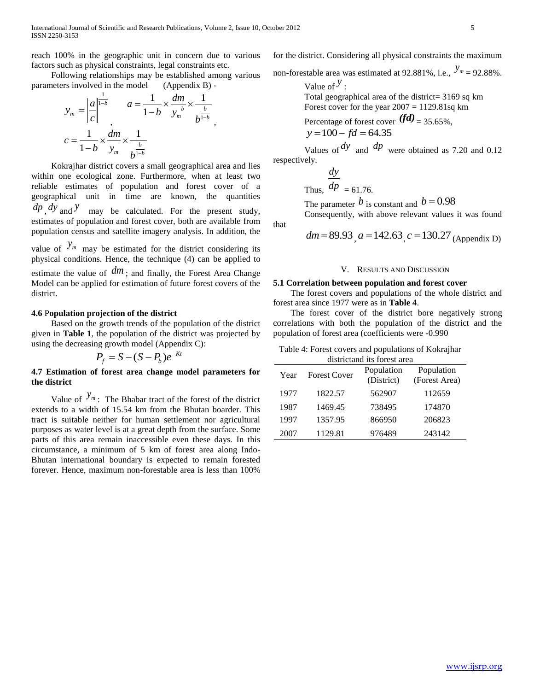,

reach 100% in the geographic unit in concern due to various factors such as physical constraints, legal constraints etc.

 Following relationships may be established among various parameters involved in the model (Appendix B) -

$$
y_m = \left| \frac{a}{c} \right|^{\frac{1}{1-b}} \qquad a = \frac{1}{1-b} \times \frac{dm}{y_m} \times \frac{1}{b^{\frac{b}{1-b}}}
$$

$$
c = \frac{1}{1-b} \times \frac{dm}{y_m} \times \frac{1}{b^{\frac{b}{1-b}}}
$$

 Kokrajhar district covers a small geographical area and lies within one ecological zone. Furthermore, when at least two reliable estimates of population and forest cover of a geographical unit in time are known, the quantities  $dp \, dy$  and *y* may be calculated. For the present study, estimates of population and forest cover, both are available from population census and satellite imagery analysis. In addition, the

value of  $y_m$  may be estimated for the district considering its physical conditions. Hence, the technique (4) can be applied to estimate the value of  $dm$ ; and finally, the Forest Area Change Model can be applied for estimation of future forest covers of the district.

# **4.6** P**opulation projection of the district**

 Based on the growth trends of the population of the district given in **Table 1**, the population of the district was projected by using the decreasing growth model (Appendix C):

$$
P_f = S - (S - P_b)e^{-Kt}
$$

# **4.7 Estimation of forest area change model parameters for the district**

Value of  $y_m$ . The Bhabar tract of the forest of the district extends to a width of 15.54 km from the Bhutan boarder. This tract is suitable neither for human settlement nor agricultural purposes as water level is at a great depth from the surface. Some parts of this area remain inaccessible even these days. In this circumstance, a minimum of 5 km of forest area along Indo-Bhutan international boundary is expected to remain forested forever. Hence, maximum non-forestable area is less than 100%

for the district. Considering all physical constraints the maximum

non-forestable area was estimated at 92.881%, i.e.,  $y_m = 92.88\%$ .

Value of  $\mathcal{Y}$  :

Total geographical area of the district= 3169 sq km Forest cover for the year  $2007 = 1129.81$ sq km

Percentage of forest cover  $(*fd*)$ <sub>=</sub>35.65%,  $y = 100 - fd = 64.35$ 

Values of  $\frac{dy}{dx}$  and  $\frac{dp}{dx}$  were obtained as 7.20 and 0.12 respectively.

> Thus,  $dp = 61.76$ . *dy*

that

The parameter  $b$  is constant and  $b = 0.98$ 

Consequently, with above relevant values it was found

*dm* = 89.93, 
$$
a = 142.63
$$
,  $c = 130.27$  (Appendix D)

# V. RESULTS AND DISCUSSION

## **5.1 Correlation between population and forest cover**

 The forest covers and populations of the whole district and forest area since 1977 were as in **Table 4**.

 The forest cover of the district bore negatively strong correlations with both the population of the district and the population of forest area (coefficients were -0.990

| Table 4: Forest covers and populations of Kokrajhar |  |  |
|-----------------------------------------------------|--|--|
|                                                     |  |  |

| districtand its forest area |                     |                          |                             |  |  |  |  |
|-----------------------------|---------------------|--------------------------|-----------------------------|--|--|--|--|
| Year                        | <b>Forest Cover</b> | Population<br>(District) | Population<br>(Forest Area) |  |  |  |  |
| 1977                        | 1822.57             | 562907                   | 112659                      |  |  |  |  |
| 1987                        | 1469.45             | 738495                   | 174870                      |  |  |  |  |
| 1997                        | 1357.95             | 866950                   | 206823                      |  |  |  |  |
| 2007                        | 1129.81             | 976489                   | 243142                      |  |  |  |  |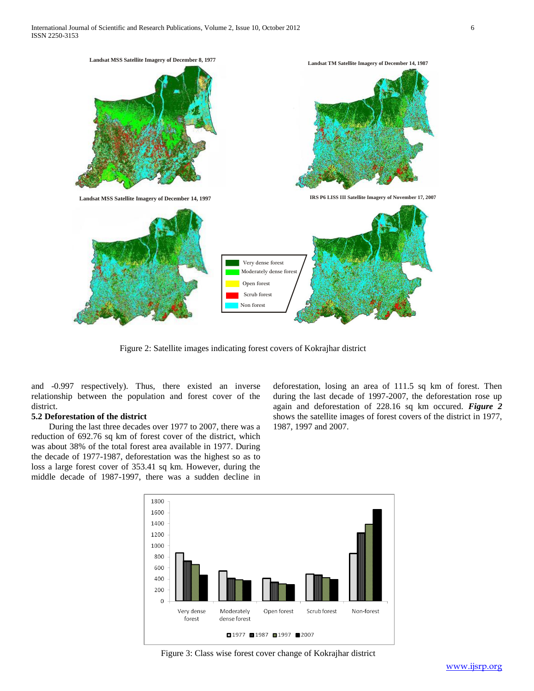

Figure 2: Satellite images indicating forest covers of Kokrajhar district

and -0.997 respectively). Thus, there existed an inverse relationship between the population and forest cover of the district.

# **5.2 Deforestation of the district**

 During the last three decades over 1977 to 2007, there was a reduction of 692.76 sq km of forest cover of the district, which was about 38% of the total forest area available in 1977. During the decade of 1977-1987, deforestation was the highest so as to loss a large forest cover of 353.41 sq km. However, during the middle decade of 1987-1997, there was a sudden decline in deforestation, losing an area of 111.5 sq km of forest. Then during the last decade of 1997-2007, the deforestation rose up again and deforestation of 228.16 sq km occured. *Figure 2* shows the satellite images of forest covers of the district in 1977, 1987, 1997 and 2007.



Figure 3: Class wise forest cover change of Kokrajhar district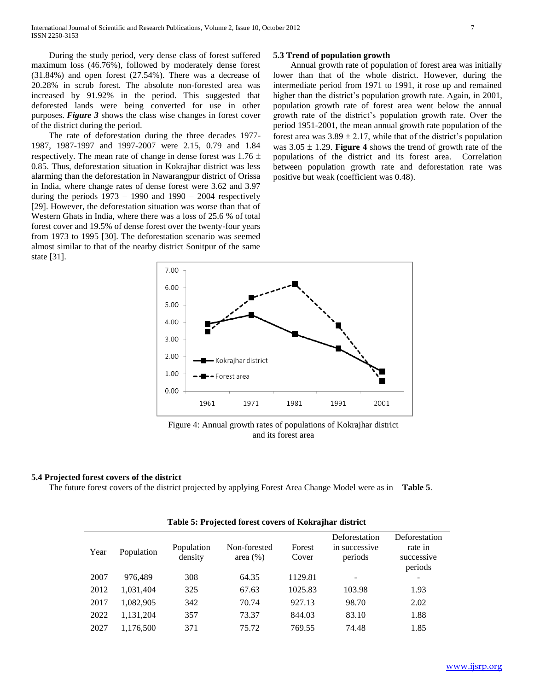During the study period, very dense class of forest suffered maximum loss (46.76%), followed by moderately dense forest (31.84%) and open forest (27.54%). There was a decrease of 20.28% in scrub forest. The absolute non-forested area was increased by 91.92% in the period. This suggested that deforested lands were being converted for use in other purposes. *Figure 3* shows the class wise changes in forest cover of the district during the period.

 The rate of deforestation during the three decades 1977- 1987, 1987-1997 and 1997-2007 were 2.15, 0.79 and 1.84 respectively. The mean rate of change in dense forest was  $1.76 \pm$ 0.85. Thus, deforestation situation in Kokrajhar district was less alarming than the deforestation in Nawarangpur district of Orissa in India, where change rates of dense forest were 3.62 and 3.97 during the periods  $1973 - 1990$  and  $1990 - 2004$  respectively [29]. However, the deforestation situation was worse than that of Western Ghats in India, where there was a loss of 25.6 % of total forest cover and 19.5% of dense forest over the twenty-four years from 1973 to 1995 [30]. The deforestation scenario was seemed almost similar to that of the nearby district Sonitpur of the same state [31].

# **5.3 Trend of population growth**

 Annual growth rate of population of forest area was initially lower than that of the whole district. However, during the intermediate period from 1971 to 1991, it rose up and remained higher than the district's population growth rate. Again, in 2001, population growth rate of forest area went below the annual growth rate of the district"s population growth rate. Over the period 1951-2001, the mean annual growth rate population of the forest area was  $3.89 \pm 2.17$ , while that of the district's population was  $3.05 \pm 1.29$ . **Figure 4** shows the trend of growth rate of the populations of the district and its forest area. Correlation between population growth rate and deforestation rate was positive but weak (coefficient was 0.48).



Figure 4: Annual growth rates of populations of Kokrajhar district and its forest area

## **5.4 Projected forest covers of the district**

The future forest covers of the district projected by applying Forest Area Change Model were as in **Table 5**.

|      | $2.00000$ $\mu$ $\sim$ $\mu$ $\sim$ $\mu$ $\sim$ $\mu$ $\sim$ $\mu$ $\sim$ $\mu$ $\sim$ $\mu$ $\sim$ $\mu$ $\sim$ $\mu$ $\sim$ $\mu$ $\sim$ $\mu$ $\sim$ $\mu$ $\sim$ $\mu$ $\sim$ $\mu$ $\sim$ $\mu$ $\sim$ $\mu$ $\sim$ $\mu$ $\sim$ $\mu$ $\sim$ $\mu$ $\sim$ $\mu$ $\sim$ $\mu$ $\sim$ |                       |                             |                 |                                           |                                                   |  |  |  |
|------|--------------------------------------------------------------------------------------------------------------------------------------------------------------------------------------------------------------------------------------------------------------------------------------------|-----------------------|-----------------------------|-----------------|-------------------------------------------|---------------------------------------------------|--|--|--|
| Year | Population                                                                                                                                                                                                                                                                                 | Population<br>density | Non-forested<br>area $(\%)$ | Forest<br>Cover | Deforestation<br>in successive<br>periods | Deforestation<br>rate in<br>successive<br>periods |  |  |  |
| 2007 | 976.489                                                                                                                                                                                                                                                                                    | 308                   | 64.35                       | 1129.81         |                                           | $\overline{\phantom{a}}$                          |  |  |  |
| 2012 | 1,031,404                                                                                                                                                                                                                                                                                  | 325                   | 67.63                       | 1025.83         | 103.98                                    | 1.93                                              |  |  |  |
| 2017 | 1,082,905                                                                                                                                                                                                                                                                                  | 342                   | 70.74                       | 927.13          | 98.70                                     | 2.02                                              |  |  |  |
| 2022 | 1,131,204                                                                                                                                                                                                                                                                                  | 357                   | 73.37                       | 844.03          | 83.10                                     | 1.88                                              |  |  |  |
| 2027 | 1,176,500                                                                                                                                                                                                                                                                                  | 371                   | 75.72                       | 769.55          | 74.48                                     | 1.85                                              |  |  |  |

#### **Table 5: Projected forest covers of Kokrajhar district**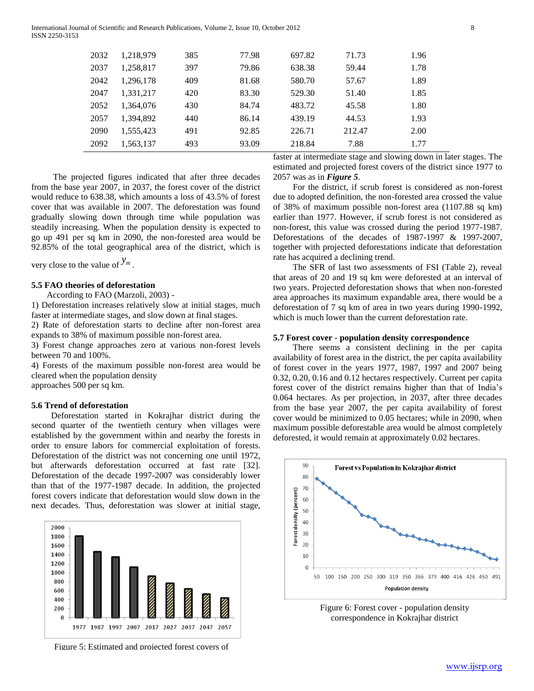| 2092 | 1,563,137 | 493 | 93.09 | 218.84 | 7.88   | 1.77 |
|------|-----------|-----|-------|--------|--------|------|
| 2090 | 1.555.423 | 491 | 92.85 | 226.71 | 212.47 | 2.00 |
| 2057 | 1,394,892 | 440 | 86.14 | 439.19 | 44.53  | 1.93 |
| 2052 | 1.364.076 | 430 | 84.74 | 483.72 | 45.58  | 1.80 |
| 2047 | 1.331.217 | 420 | 83.30 | 529.30 | 51.40  | 1.85 |
| 2042 | 1,296,178 | 409 | 81.68 | 580.70 | 57.67  | 1.89 |
| 2037 | 1,258,817 | 397 | 79.86 | 638.38 | 59.44  | 1.78 |
| 2032 | 1,218,979 | 385 | 77.98 | 697.82 | 71.73  | 1.96 |
|      |           |     |       |        |        |      |

 The projected figures indicated that after three decades from the base year 2007, in 2037, the forest cover of the district would reduce to 638.38, which amounts a loss of 43.5% of forest cover that was available in 2007. The deforestation was found gradually slowing down through time while population was steadily increasing. When the population density is expected to go up 491 per sq km in 2090, the non-forested area would be 92.85% of the total geographical area of the district, which is

very close to the value of  $y_m$ .

## **5.5 FAO theories of deforestation**

According to FAO (Marzoli, 2003) -

1) Deforestation increases relatively slow at initial stages, much faster at intermediate stages, and slow down at final stages.

2) Rate of deforestation starts to decline after non-forest area expands to 38% of maximum possible non-forest area.

3) Forest change approaches zero at various non-forest levels between 70 and 100%.

4) Forests of the maximum possible non-forest area would be cleared when the population density approaches 500 per sq km.

#### **5.6 Trend of deforestation**

 Deforestation started in Kokrajhar district during the second quarter of the twentieth century when villages were established by the government within and nearby the forests in order to ensure labors for commercial exploitation of forests. Deforestation of the district was not concerning one until 1972, but afterwards deforestation occurred at fast rate [32]. Deforestation of the decade 1997-2007 was considerably lower than that of the 1977-1987 decade. In addition, the projected forest covers indicate that deforestation would slow down in the next decades. Thus, deforestation was slower at initial stage,



Figure 5: Estimated and projected forest covers of

faster at intermediate stage and slowing down in later stages. The estimated and projected forest covers of the district since 1977 to 2057 was as in *Figure 5*.

 For the district, if scrub forest is considered as non-forest due to adopted definition, the non-forested area crossed the value of 38% of maximum possible non-forest area (1107.88 sq km) earlier than 1977. However, if scrub forest is not considered as non-forest, this value was crossed during the period 1977-1987. Deforestations of the decades of 1987-1997 & 1997-2007, together with projected deforestations indicate that deforestation rate has acquired a declining trend.

 The SFR of last two assessments of FSI (Table 2), reveal that areas of 20 and 19 sq km were deforested at an interval of two years. Projected deforestation shows that when non-forested area approaches its maximum expandable area, there would be a deforestation of 7 sq km of area in two years during 1990-1992, which is much lower than the current deforestation rate.

# **5.7 Forest cover - population density correspondence**

 There seems a consistent declining in the per capita availability of forest area in the district, the per capita availability of forest cover in the years 1977, 1987, 1997 and 2007 being 0.32, 0.20, 0.16 and 0.12 hectares respectively. Current per capita forest cover of the district remains higher than that of India"s 0.064 hectares. As per projection, in 2037, after three decades from the base year 2007, the per capita availability of forest cover would be minimized to 0.05 hectares; while in 2090, when maximum possible deforestable area would be almost completely deforested, it would remain at approximately 0.02 hectares.



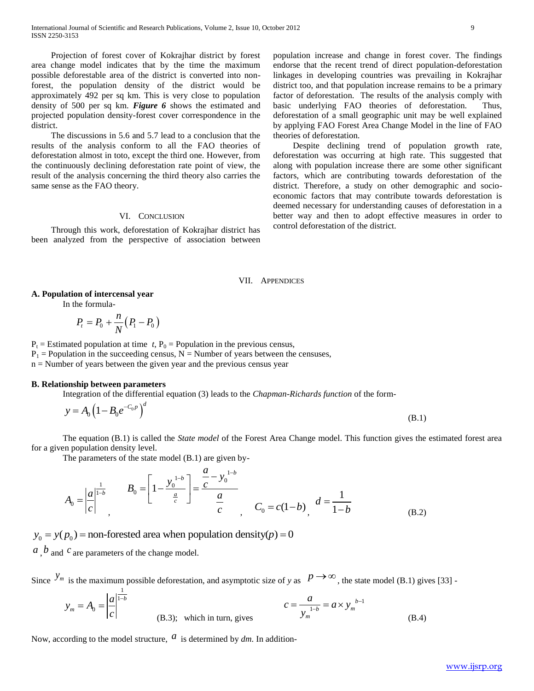Projection of forest cover of Kokrajhar district by forest area change model indicates that by the time the maximum possible deforestable area of the district is converted into nonforest, the population density of the district would be approximately 492 per sq km. This is very close to population density of 500 per sq km. *Figure 6* shows the estimated and projected population density-forest cover correspondence in the district.

 The discussions in 5.6 and 5.7 lead to a conclusion that the results of the analysis conform to all the FAO theories of deforestation almost in toto, except the third one. However, from the continuously declining deforestation rate point of view, the result of the analysis concerning the third theory also carries the same sense as the FAO theory.

# VI. CONCLUSION

 Through this work, deforestation of Kokrajhar district has been analyzed from the perspective of association between population increase and change in forest cover. The findings endorse that the recent trend of direct population-deforestation linkages in developing countries was prevailing in Kokrajhar district too, and that population increase remains to be a primary factor of deforestation. The results of the analysis comply with basic underlying FAO theories of deforestation. Thus, deforestation of a small geographic unit may be well explained by applying FAO Forest Area Change Model in the line of FAO theories of deforestation.

 Despite declining trend of population growth rate, deforestation was occurring at high rate. This suggested that along with population increase there are some other significant factors, which are contributing towards deforestation of the district. Therefore, a study on other demographic and socioeconomic factors that may contribute towards deforestation is deemed necessary for understanding causes of deforestation in a better way and then to adopt effective measures in order to control deforestation of the district.

#### VII. APPENDICES

## **A. Population of intercensal year**

In the formula-

$$
P_t = P_0 + \frac{n}{N}(P_1 - P_0)
$$

 $P_t$  = Estimated population at time *t*,  $P_0$  = Population in the previous census,

 $P_1$  = Population in the succeeding census, N = Number of years between the censuses,

n = Number of years between the given year and the previous census year

# **B. Relationship between parameters**

Integration of the differential equation (3) leads to the *Chapman-Richards function* of the form-

$$
y = A_0 \left( 1 - B_0 e^{-C_0 p} \right)^d \tag{B.1}
$$

The equation (B.1) is called the *State model* of the Forest Area Change model. This function gives the estimated forest area for a given population density level.

The parameters of the state model (B.1) are given by-

$$
P_i = P_0 + \frac{\pi}{N}(P_1 - P_0)
$$
  
anded population at time t,  $P_0$  = Population in the previous census,  
lation in the succeeding census, N = Number of years between the censuses,  
ulation in the succeeding census, N = Number of years between the censuses,  
onship between parameters  
integration of the differential equation (3) leads to the *Chapman-Richards function* of the form-  
 $y = A_0 \left(1 - B_0 e^{-C_0 p}\right)^d$  (B.1)  
The equation (B.1) is called the *State model* of the Forest Area Change model. This function gives the estimated forest area  
in population density level.  
the parameters of the state model (B.1) are given by-  

$$
A_0 = \left|\frac{a}{c}\right|^{-\frac{1}{1-b}} = \frac{B_0}{\frac{a}{c}} = \left[1 - \frac{y_0^{1-b}}{\frac{a}{c}}\right] = \frac{\frac{a}{c} - y_0^{1-b}}{\frac{a}{c}} = \frac{C_0}{\frac{a}{c}} = \frac{C_0}{\frac{a}{c}} = \frac{C_0}{\frac{a}{c}} = \frac{C_0}{\frac{a}{c}} = \frac{C_0}{\frac{a}{c}} = \frac{C_0}{\frac{a}{c}} = \frac{C_0}{\frac{a}{c}} = \frac{C_0}{\frac{a}{c}} = \frac{C_0}{\frac{a}{c}} = \frac{C_0}{\frac{a}{c}} = \frac{C_0}{\frac{a}{c}} = \frac{C_0}{\frac{a}{c}} = \frac{C_0}{\frac{a}{c}} = \frac{C_0}{\frac{a}{c}} = \frac{C_0}{\frac{a}{c}} = \frac{C_0}{\frac{a}{c}} = \frac{C_0}{\frac{a}{c}} = \frac{C_0}{\frac{a}{c}} = \frac{C_0}{\frac{a}{c}} = \frac{C_0}{\frac{a}{c}} = \frac{C_0}{\frac{a}{c}} = \frac{C_0}{\frac{a}{c}} = \frac{C_0}{\frac{a}{c}} = \frac{C_0}{\frac{a}{c}} = \frac{C_0}{\frac{a}{c}} = \frac{C_0}{\frac{a}{c}} = \frac{C_0}{\frac{a}{c}} = \frac{C_0}{\frac{a}{c}} = \frac{C_0}{\frac{a}{c}} = \frac{C_0}{\frac{a}{c}} = \frac
$$

 $y_0 = y(p_0)$  = non-forested area when population density( $p$ ) = 0

and <sup>*c*</sup> are parameters of the change model.

Since  $y_m$  is the maximum possible deforestation, and asymptotic size of *y* as  $p \to \infty$ , the state model (B.1) gives [33] -

$$
y_m = A_0 = \left| \frac{a}{c} \right|^{\frac{1}{1-b}}
$$
 (B.3); which in turn, gives  $c = \frac{a}{y_m^{\frac{1-b}{b}}} = a \times y_m^{\frac{b-1}{b}}$  (B.4)

Now, according to the model structure,  $\alpha$  is determined by  $dm$ . In addition-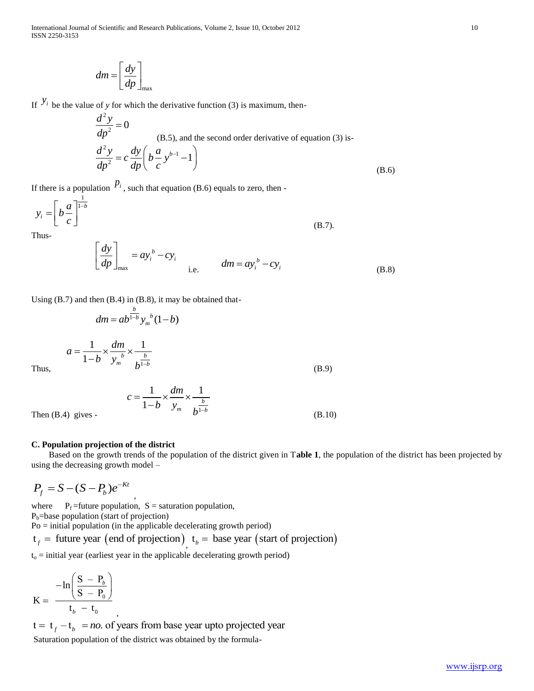International Journal of Scientific and Research Publications, Volume 2, Issue 10, October 2012 10 ISSN 2250-3153

$$
dm = \left[\frac{dy}{dp}\right]_{\text{max}}
$$

If  $y_i$  be the value of *y* for which the derivative function (3) is maximum, then-

$$
\frac{d^2 y}{dp^2} = 0
$$
\n(B.5), and the second order derivative of equation (3) is-\n
$$
\frac{d^2 y}{dp^2} = c \frac{dy}{dp} \left( b \frac{a}{c} y^{b-1} - 1 \right)
$$
\n(B.6)

If there is a population  $P_i$ , such that equation (B.6) equals to zero, then -

$$
y_i = \left[ b \frac{a}{c} \right]^{\frac{1}{1-b}}
$$
\nThus,

\n
$$
y_i = \left[ b \frac{a}{c} \right]^{\frac{1}{1-b}}
$$
\n(B.7).

Thus-

$$
\left[\frac{dy}{dp}\right]_{\text{max}} = ay_i^b - cy_i
$$
\ni.e. 
$$
dm = ay_i^b - cy_i
$$
\n(B.8)

Using (B.7) and then (B.4) in (B.8), it may be obtained that-

1

*m*  $h^{1-b}$ 

,

$$
dm = ab^{\frac{b}{1-b}} y_m^b (1-b)
$$

$$
a = \frac{1}{1-b} \times \frac{dm}{y_m^b} \times \frac{1}{b^{\frac{b}{1-b}}}
$$

Thus,

$$
c = \frac{1}{1-b} \times \frac{dm}{y_m} \times \frac{1}{b^{\frac{b}{1-b}}}
$$
(B.10)

Then (B.4) gives -

# **C. Population projection of the district**

 $1-b$   $y_m^b$   $\frac{b}{1-b}$ 

-

 Based on the growth trends of the population of the district given in T**able 1**, the population of the district has been projected by using the decreasing growth model –

(B.9)

$$
P_f = S - (S - P_b)e^{-Kt}
$$

where  $P_f$  =future population,  $S =$  saturation population,  $P_b$ =base population (start of projection) Po = initial population (in the applicable decelerating growth period) Po = initial population (in the applicable decelerating growth period)<br>  $t_f$  = future year (end of projection)<sub>,</sub>  $t_b$  = base year (start of projection)

 $t<sub>o</sub> =$  initial year (earliest year in the applicable decelerating growth period)

$$
K = \frac{-\ln\left(\frac{S - P_b}{S - P_0}\right)}{t_b - t_0},
$$

 $K = \frac{(S - P_0)}{t_b - t_0}$ <br>  $t = t_f - t_b = no$ . of years from base year upto projected year Saturation population of the district was obtained by the formula-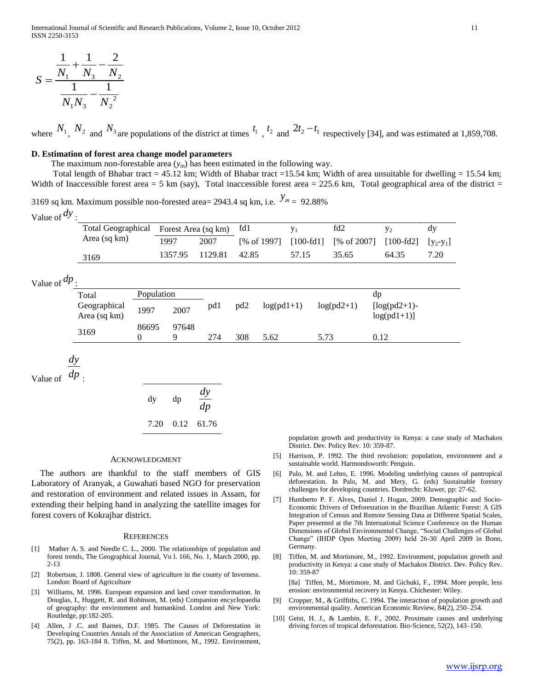$$
S = \frac{\frac{1}{N_1} + \frac{1}{N_3} - \frac{2}{N_2}}{\frac{1}{N_1 N_3} - \frac{1}{N_2^2}}
$$

where  $N_1$ ,  $N_2$  and  $N_3$  are populations of the district at times  $t_1$ ,  $t_2$  and  $2t_2 - t_1$  respectively [34], and was estimated at 1,859,708.

### **D. Estimation of forest area change model parameters**

The maximum non-forestable area  $(y_m)$  has been estimated in the following way.

Total length of Bhabar tract = 45.12 km; Width of Bhabar tract = 15.54 km; Width of area unsuitable for dwelling = 15.54 km; Width of Inaccessible forest area = 5 km (say), Total inaccessible forest area = 225.6 km, Total geographical area of the district =

3169 sq km. Maximum possible non-forested area= 2943.4 sq km, i.e.  $y_m = 92.88\%$ Value of *dy* :

| Total Geographical Forest Area (sq km) fd1 |         |         |             |       | fd2                                         | $V_{2}$ | dv   |
|--------------------------------------------|---------|---------|-------------|-------|---------------------------------------------|---------|------|
| Area (sq km)                               | 1997    | 2007    | [% of 1997] |       | [100-fd1] [% of 2007] [100-fd2] $[y_2-y_1]$ |         |      |
| 3169                                       | 1357.95 | 1129.81 | 42.85       | 57.15 | 35.65                                       | 64.35   | 7.20 |

Value of *dp* :

| Total                        | Population |            |     |                 |              |              | dp                              |
|------------------------------|------------|------------|-----|-----------------|--------------|--------------|---------------------------------|
| Geographical<br>Area (sq km) | 1997       | 2007       | pdl | pd <sub>2</sub> | $log(pd1+1)$ | $log(pd2+1)$ | $[log(pd2+1)-$<br>$log(pd1+1)]$ |
| 3169                         | 86695      | 97648<br>Q | 274 | 308             | 5.62         | 5.73         | 0.12                            |

*dy*

Value of  $dp$ :

$$
dy \quad dp \quad \frac{dy}{dp}
$$
  
7.20 0.12 61.76

#### ACKNOWLEDGMENT

The authors are thankful to the staff members of GIS Laboratory of Aranyak, a Guwahati based NGO for preservation and restoration of environment and related issues in Assam, for extending their helping hand in analyzing the satellite images for forest covers of Kokrajhar district.

#### **REFERENCES**

- [1] Mather A. S. and Needle C. L., 2000. The relationships of population and forest trends, The Geographical Journal, Vo l. 166, No. 1, March 2000, pp. 2-13
- [2] Robertson, J. 1808. General view of agriculture in the county of Inverness. London: Board of Agriculture
- [3] Williams, M. 1996. European expansion and land cover transformation. In Douglas, I., Huggett, R. and Robinson, M. (eds) Companion encyclopaedia of geography: the environment and humankind. London and New York: Routledge, pp:182-205.
- [4] Allen, J .C. and Barnes, D.F. 1985. The Causes of Deforestation in Developing Countries Annals of the Association of American Geographers, 75(2), pp. 163-184 8. Tiffen, M. and Mortimore, M., 1992. Environment,

population growth and productivity in Kenya: a case study of Machakos District. Dev. Policy Rev. 10: 359-87.

- [5] Harrison, P. 1992. The third revolution: population, environment and a sustainable world. Harmondsworth: Penguin.
- [6] Palo, M. and Lehto, E. 1996. Modeling underlying causes of pantropical deforestation. In Palo, M. and Mery, G. (eds) Sustainable forestry challenges for developing countries. Dordrecht: Kluwer, pp: 27-62.
- [7] Humberto P. F. Alves, Daniel J. Hogan, 2009. Demographic and Socio-Economic Drivers of Deforestation in the Brazilian Atlantic Forest: A GIS Integration of Census and Remote Sensing Data at Different Spatial Scales, Paper presented at the 7th International Science Conference on the Human Dimensions of Global Environmental Change, "Social Challenges of Global Change" (IHDP Open Meeting 2009) held 26-30 April 2009 in Bonn, Germany.
- [8] Tiffen, M. and Mortimore, M., 1992. Environment, population growth and productivity in Kenya: a case study of Machakos District. Dev. Policy Rev. 10: 359-87

[8a] Tiffen, M., Mortimore, M. and Gichuki, F., 1994. More people, less erosion: environmental recovery in Kenya. Chichester: Wiley.

- [9] Cropper, M., & Griffiths, C. 1994. The interaction of population growth and environmental quality. American Economic Review, 84(2), 250–254.
- [10] Geist, H. J., & Lambin, E. F., 2002. Proximate causes and underlying driving forces of tropical deforestation. Bio-Science, 52(2), 143–150.